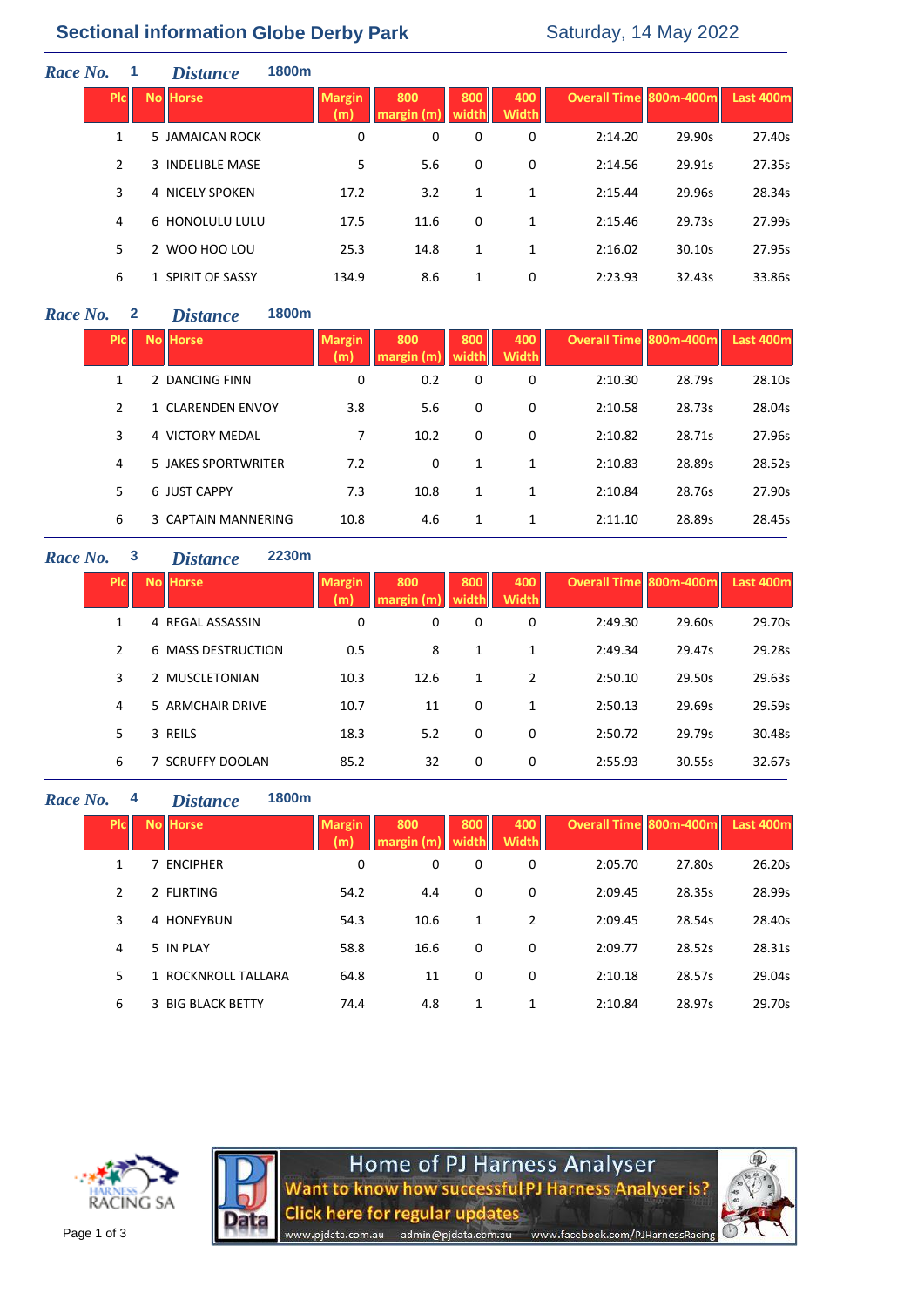# **Sectional information Globe Derby Park** Saturday, 14 May 2022

| Race No. |            | <b>Distance</b>        | 1800 <sub>m</sub> |                      |                         |     |                     |                               |        |           |
|----------|------------|------------------------|-------------------|----------------------|-------------------------|-----|---------------------|-------------------------------|--------|-----------|
|          | <b>PIc</b> | <b>No Horse</b>        |                   | <b>Margin</b><br>(m) | 800<br>margin (m) width | 800 | 400<br><b>Width</b> | <b>Overall Time 800m-400m</b> |        | Last 400m |
|          | 1          | 5 JAMAICAN ROCK        |                   | 0                    | 0                       | 0   | 0                   | 2:14.20                       | 29.90s | 27.40s    |
|          | 2          | 3 INDELIBLE MASE       |                   | 5                    | 5.6                     | 0   | 0                   | 2:14.56                       | 29.91s | 27.35s    |
|          | 3          | 4 NICELY SPOKEN        |                   | 17.2                 | 3.2                     | 1   | 1                   | 2:15.44                       | 29.96s | 28.34s    |
|          | 4          | <b>6 HONOLULU LULU</b> |                   | 17.5                 | 11.6                    | 0   | 1                   | 2:15.46                       | 29.73s | 27.99s    |
|          | 5          | 2 WOO HOO LOU          |                   | 25.3                 | 14.8                    | 1   | 1                   | 2:16.02                       | 30.10s | 27.95s    |
|          | 6          | 1 SPIRIT OF SASSY      |                   | 134.9                | 8.6                     | 1   | 0                   | 2:23.93                       | 32.43s | 33.86s    |
|          |            |                        |                   |                      |                         |     |                     |                               |        |           |

#### *Race No.* **2** *Distance*

| tance | 1800m |
|-------|-------|
|-------|-------|

| <b>PIC</b>    | <b>No Horse</b>     | <b>Margin</b><br>(m) | 800<br>margin (m) | 800<br>width | 400<br><b>Width</b> | <b>Overall Time 800m-400m</b> |        | Last 400m |
|---------------|---------------------|----------------------|-------------------|--------------|---------------------|-------------------------------|--------|-----------|
|               | 2 DANCING FINN      | 0                    | 0.2               | 0            | 0                   | 2:10.30                       | 28.79s | 28.10s    |
| $\mathcal{P}$ | 1 CLARENDEN ENVOY   | 3.8                  | 5.6               | 0            | 0                   | 2:10.58                       | 28.73s | 28.04s    |
| 3             | 4 VICTORY MEDAL     | 7                    | 10.2              | 0            | 0                   | 2:10.82                       | 28.71s | 27.96s    |
| 4             | 5 JAKES SPORTWRITER | 7.2                  | 0                 | 1            | 1                   | 2:10.83                       | 28.89s | 28.52s    |
| 5.            | 6 JUST CAPPY        | 7.3                  | 10.8              | 1            | 1                   | 2:10.84                       | 28.76s | 27.90s    |
| 6             | 3 CAPTAIN MANNERING | 10.8                 | 4.6               | 1            | 1                   | 2:11.10                       | 28.89s | 28.45s    |

## *Race No.* **3** *Distance* **2230m**

| <b>PIC</b> | <b>No Horse</b>    | <b>Margin</b><br>(m) | 800  | 800<br>width | 400<br><b>Width</b> | <b>Overall Time 800m-400m</b> |        | Last 400m |
|------------|--------------------|----------------------|------|--------------|---------------------|-------------------------------|--------|-----------|
| 1          | 4 REGAL ASSASSIN   | 0                    | 0    | 0            | 0                   | 2:49.30                       | 29.60s | 29.70s    |
| 2          | 6 MASS DESTRUCTION | 0.5                  | 8    | 1            | 1                   | 2:49.34                       | 29.47s | 29.28s    |
| 3          | 2 MUSCLETONIAN     | 10.3                 | 12.6 | 1            | 2                   | 2:50.10                       | 29.50s | 29.63s    |
| 4          | 5 ARMCHAIR DRIVE   | 10.7                 | 11   | $\Omega$     | 1                   | 2:50.13                       | 29.69s | 29.59s    |
| 5          | 3 REILS            | 18.3                 | 5.2  | 0            | 0                   | 2:50.72                       | 29.79s | 30.48s    |
| 6          | 7 SCRUFFY DOOLAN   | 85.2                 | 32   | $\Omega$     | 0                   | 2:55.93                       | 30.55s | 32.67s    |

#### *Race No.* **4** *Distance* **1800m**

| <b>PIC</b>    | <b>No Horse</b> |                     | <b>Margin</b><br>(m | 800  | 800<br>width | 400<br><b>Width</b> | <b>Overall Time 800m-400m</b> |        | Last 400m |  |  |
|---------------|-----------------|---------------------|---------------------|------|--------------|---------------------|-------------------------------|--------|-----------|--|--|
| 1             |                 | <b>ENCIPHER</b>     | 0                   | 0    | 0            | 0                   | 2:05.70                       | 27.80s | 26.20s    |  |  |
| $\mathcal{P}$ |                 | 2 FLIRTING          | 54.2                | 4.4  | 0            | 0                   | 2:09.45                       | 28.35s | 28.99s    |  |  |
| 3             |                 | 4 HONEYBUN          | 54.3                | 10.6 | 1            | 2                   | 2:09.45                       | 28.54s | 28.40s    |  |  |
| 4             |                 | 5 IN PLAY           | 58.8                | 16.6 | 0            | 0                   | 2:09.77                       | 28.52s | 28.31s    |  |  |
| 5             |                 | 1 ROCKNROLL TALLARA | 64.8                | 11   | 0            | 0                   | 2:10.18                       | 28.57s | 29.04s    |  |  |
| 6             |                 | 3 BIG BLACK BETTY   | 74.4                | 4.8  | 1            | 1                   | 2:10.84                       | 28.97s | 29.70s    |  |  |





ww.pidata.com.au

Home of PJ Harness Analyser<br>Want to know how successful PJ Harness Analyser is? **Click here for regular updates** admin@pjdata.com.au www.facebook.com/PJHarnessRacing

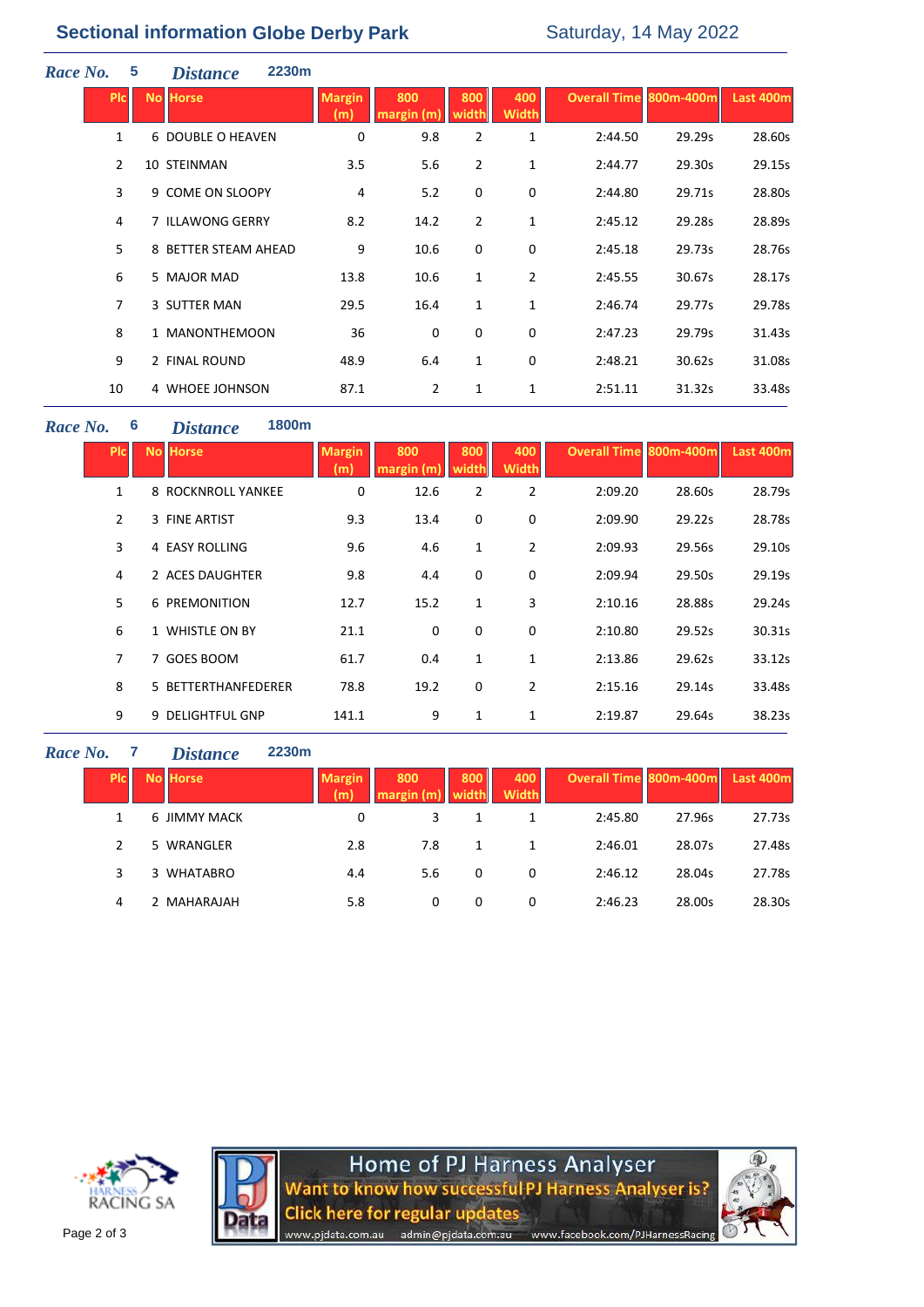# **Sectional information Globe Derby Park** Saturday, 14 May 2022

| Race No. |                | 5 | <i>Distance</i>      | 2230m |                      |                   |                |                     |                               |        |           |
|----------|----------------|---|----------------------|-------|----------------------|-------------------|----------------|---------------------|-------------------------------|--------|-----------|
|          | <b>PIc</b>     |   | <b>No Horse</b>      |       | <b>Margin</b><br>(m) | 800<br>margin (m) | 800<br>width   | 400<br><b>Width</b> | <b>Overall Time 800m-400m</b> |        | Last 400m |
|          | $\mathbf{1}$   |   | 6 DOUBLE O HEAVEN    |       | 0                    | 9.8               | 2              | 1                   | 2:44.50                       | 29.29s | 28.60s    |
|          | $\overline{2}$ |   | 10 STEINMAN          |       | 3.5                  | 5.6               | 2              | $\mathbf{1}$        | 2:44.77                       | 29.30s | 29.15s    |
|          | 3              |   | 9 COME ON SLOOPY     |       | 4                    | 5.2               | 0              | 0                   | 2:44.80                       | 29.71s | 28.80s    |
|          | 4              |   | 7 ILLAWONG GERRY     |       | 8.2                  | 14.2              | $\overline{2}$ | $\mathbf 1$         | 2:45.12                       | 29.28s | 28.89s    |
|          | 5              |   | 8 BETTER STEAM AHEAD |       | 9                    | 10.6              | 0              | 0                   | 2:45.18                       | 29.73s | 28.76s    |
|          | 6              |   | 5 MAJOR MAD          |       | 13.8                 | 10.6              | 1              | $\overline{2}$      | 2:45.55                       | 30.67s | 28.17s    |
|          | $\overline{7}$ |   | 3 SUTTER MAN         |       | 29.5                 | 16.4              | $\mathbf{1}$   | 1                   | 2:46.74                       | 29.77s | 29.78s    |
|          | 8              |   | 1 MANONTHEMOON       |       | 36                   | 0                 | $\mathbf 0$    | 0                   | 2:47.23                       | 29.79s | 31.43s    |
|          | 9              |   | 2 FINAL ROUND        |       | 48.9                 | 6.4               | $\mathbf{1}$   | 0                   | 2:48.21                       | 30.62s | 31.08s    |
|          | 10             |   | 4 WHOEE JOHNSON      |       | 87.1                 | 2                 | 1              | $\mathbf{1}$        | 2:51.11                       | 31.32s | 33.48s    |

### *Race No.* **6** *Distance* **1800m**

| <b>PIC</b>   | <b>No Horse</b>     | <b>Margin</b><br>(m) | 800<br>margin (m) | 800<br>width   | 400<br>Width   | Overall Time 800m-400m |        | Last 400m |
|--------------|---------------------|----------------------|-------------------|----------------|----------------|------------------------|--------|-----------|
| $\mathbf{1}$ | 8 ROCKNROLL YANKEE  | 0                    | 12.6              | $\overline{2}$ | $\overline{2}$ | 2:09.20                | 28.60s | 28.79s    |
| 2            | 3 FINE ARTIST       | 9.3                  | 13.4              | 0              | 0              | 2:09.90                | 29.22s | 28.78s    |
| 3            | 4 EASY ROLLING      | 9.6                  | 4.6               | 1              | $\overline{2}$ | 2:09.93                | 29.56s | 29.10s    |
| 4            | 2 ACES DAUGHTER     | 9.8                  | 4.4               | 0              | 0              | 2:09.94                | 29.50s | 29.19s    |
| 5            | 6 PREMONITION       | 12.7                 | 15.2              | 1              | 3              | 2:10.16                | 28.88s | 29.24s    |
| 6            | 1 WHISTLE ON BY     | 21.1                 | 0                 | 0              | 0              | 2:10.80                | 29.52s | 30.31s    |
| 7            | 7 GOES BOOM         | 61.7                 | 0.4               | $\mathbf{1}$   | 1              | 2:13.86                | 29.62s | 33.12s    |
| 8            | 5 BETTERTHANFEDERER | 78.8                 | 19.2              | 0              | $\overline{2}$ | 2:15.16                | 29.14s | 33.48s    |
| 9            | 9 DELIGHTFUL GNP    | 141.1                | 9                 | 1              | 1              | 2:19.87                | 29.64s | 38.23s    |

## *Race No.* **7** *Distance* **2230m**

| <b>PIC</b>    | <b>No</b> | <b>Horse</b> | <b>Margin</b><br>(m) | 800<br>margin (m | 800 | 400<br>Width | <b>Overall Time</b> | 800m-400m | <b>Last 400m</b> |
|---------------|-----------|--------------|----------------------|------------------|-----|--------------|---------------------|-----------|------------------|
|               |           | 6 JIMMY MACK | 0                    | 3                |     |              | 2:45.80             | 27.96s    | 27.73s           |
| $\mathcal{L}$ |           | 5 WRANGLER   | 2.8                  | 7.8              | 1   | 1            | 2:46.01             | 28.07s    | 27.48s           |
| 3             |           | 3 WHATABRO   | 4.4                  | 5.6              | 0   | 0            | 2:46.12             | 28.04s    | 27.78s           |
| 4             |           | 2 MAHARAJAH  | 5.8                  | $\Omega$         | 0   | 0            | 2:46.23             | 28.00s    | 28.30s           |
|               |           |              |                      |                  |     |              |                     |           |                  |





Home of PJ Harness Analyser<br>Want to know how successful PJ Harness Analyser is? **Click here for regular updates** www.pjdata.com.au admin@pjdata.com.au www.facebook.com/PJHarnessRacing